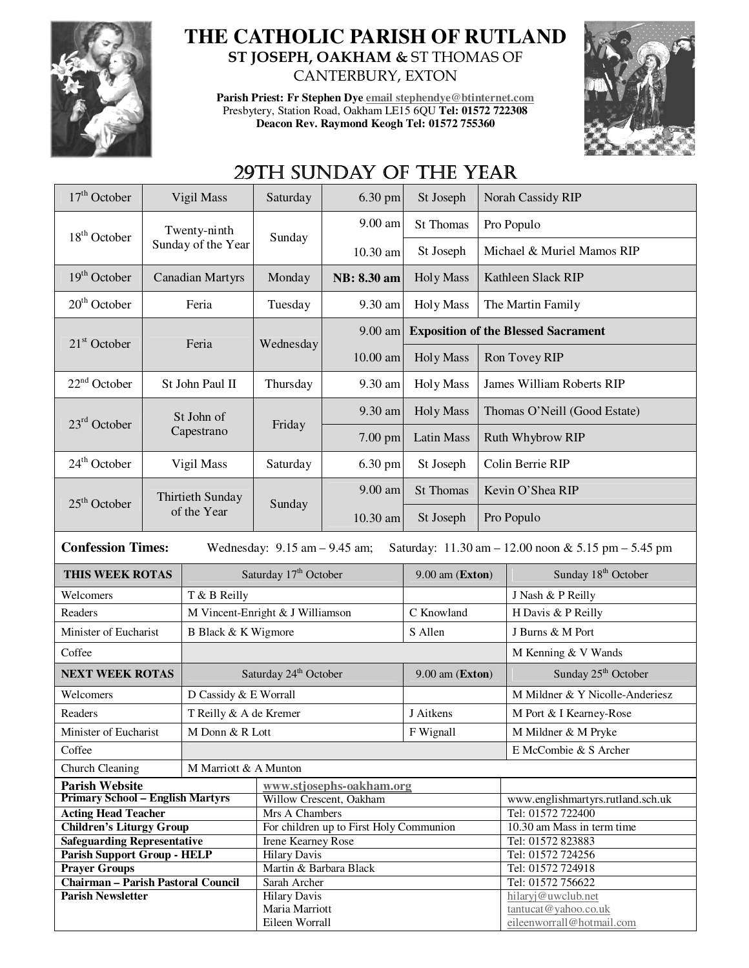

## **THE CATHOLIC PARISH OF RUTLAND ST JOSEPH, OAKHAM &** ST THOMAS OF CANTERBURY, EXTON

**Parish Priest: Fr Stephen Dye email stephendye@btinternet.com** Presbytery, Station Road, Oakham LE15 6QU **Tel: 01572 722308 Deacon Rev. Raymond Keogh Tel: 01572 755360** 



## 29TH SUNDAY OF THE YEAR

| $17th$ October                            | Vigil Mass                                                                                                           |                        | Saturday                              | 6.30 pm                                 | St Joseph         |                                            | Norah Cassidy RIP                          |  |  |
|-------------------------------------------|----------------------------------------------------------------------------------------------------------------------|------------------------|---------------------------------------|-----------------------------------------|-------------------|--------------------------------------------|--------------------------------------------|--|--|
| $18th$ October                            | Twenty-ninth                                                                                                         |                        | Sunday                                | 9.00 am                                 | St Thomas         |                                            | Pro Populo                                 |  |  |
|                                           |                                                                                                                      | Sunday of the Year     |                                       | 10.30 am                                | St Joseph         |                                            | Michael & Muriel Mamos RIP                 |  |  |
| $19th$ October                            | <b>Canadian Martyrs</b>                                                                                              |                        | Monday                                | NB: 8.30 am                             | <b>Holy Mass</b>  | Kathleen Slack RIP                         |                                            |  |  |
| $20th$ October                            | Feria                                                                                                                |                        | Tuesday                               | 9.30 am                                 | <b>Holy Mass</b>  | The Martin Family                          |                                            |  |  |
| $21st$ October                            | Feria                                                                                                                |                        | Wednesday                             | 9.00 am                                 |                   | <b>Exposition of the Blessed Sacrament</b> |                                            |  |  |
|                                           |                                                                                                                      |                        |                                       | $10.00$ am                              | <b>Holy Mass</b>  |                                            | Ron Tovey RIP                              |  |  |
| $22nd$ October                            | St John Paul II                                                                                                      |                        | Thursday                              | 9.30 am                                 | <b>Holy Mass</b>  | <b>James William Roberts RIP</b>           |                                            |  |  |
| $23rd$ October                            | St John of<br>Capestrano                                                                                             |                        | Friday                                | 9.30 am                                 | <b>Holy Mass</b>  | Thomas O'Neill (Good Estate)               |                                            |  |  |
|                                           |                                                                                                                      |                        |                                       | $7.00$ pm                               | <b>Latin Mass</b> | Ruth Whybrow RIP                           |                                            |  |  |
| $24th$ October                            | Vigil Mass                                                                                                           |                        | Saturday                              | 6.30 pm                                 | St Joseph         | Colin Berrie RIP                           |                                            |  |  |
| $25th$ October                            |                                                                                                                      | Thirtieth Sunday       | Sunday                                | 9.00 am                                 | St Thomas         |                                            | Kevin O'Shea RIP                           |  |  |
|                                           | of the Year                                                                                                          |                        |                                       | 10.30 am                                | St Joseph         | Pro Populo                                 |                                            |  |  |
|                                           | <b>Confession Times:</b><br>Saturday: 11.30 am - 12.00 noon & 5.15 pm - 5.45 pm<br>Wednesday: $9.15$ am $- 9.45$ am; |                        |                                       |                                         |                   |                                            |                                            |  |  |
| THIS WEEK ROTAS                           |                                                                                                                      |                        | Saturday 17 <sup>th</sup> October     |                                         | $9.00$ am (Exton) |                                            | Sunday 18 <sup>th</sup> October            |  |  |
| Welcomers                                 |                                                                                                                      | T & B Reilly           |                                       |                                         |                   |                                            |                                            |  |  |
|                                           |                                                                                                                      |                        |                                       |                                         |                   |                                            | J Nash & P Reilly                          |  |  |
| Readers                                   |                                                                                                                      |                        | M Vincent-Enright & J Williamson      |                                         | C Knowland        |                                            | H Davis & P Reilly                         |  |  |
| Minister of Eucharist                     |                                                                                                                      | B Black & K Wigmore    |                                       |                                         | S Allen           |                                            | J Burns & M Port                           |  |  |
| Coffee                                    |                                                                                                                      |                        |                                       |                                         |                   |                                            | M Kenning & V Wands                        |  |  |
| <b>NEXT WEEK ROTAS</b>                    |                                                                                                                      |                        | Saturday 24 <sup>th</sup> October     |                                         | 9.00 am (Exton)   |                                            | Sunday 25 <sup>th</sup> October            |  |  |
| Welcomers                                 |                                                                                                                      | D Cassidy & E Worrall  |                                       |                                         |                   |                                            | M Mildner & Y Nicolle-Anderiesz            |  |  |
| Readers                                   |                                                                                                                      | T Reilly & A de Kremer |                                       |                                         | J Aitkens         |                                            | M Port & I Kearney-Rose                    |  |  |
| Minister of Eucharist                     |                                                                                                                      | M Donn & R Lott        |                                       |                                         | F Wignall         |                                            | M Mildner & M Pryke                        |  |  |
| Coffee                                    |                                                                                                                      |                        |                                       |                                         |                   |                                            | E McCombie & S Archer                      |  |  |
| Church Cleaning                           |                                                                                                                      | M Marriott & A Munton  |                                       |                                         |                   |                                            |                                            |  |  |
| <b>Parish Website</b>                     |                                                                                                                      |                        |                                       | www.stjosephs-oakham.org                |                   |                                            |                                            |  |  |
| <b>Primary School - English Martyrs</b>   |                                                                                                                      |                        |                                       | Willow Crescent, Oakham                 |                   |                                            | www.englishmartyrs.rutland.sch.uk          |  |  |
| <b>Acting Head Teacher</b>                |                                                                                                                      |                        | Mrs A Chambers                        |                                         |                   |                                            | Tel: 01572 722400                          |  |  |
| <b>Children's Liturgy Group</b>           |                                                                                                                      |                        |                                       | For children up to First Holy Communion |                   |                                            | 10.30 am Mass in term time                 |  |  |
| <b>Safeguarding Representative</b>        |                                                                                                                      |                        | Irene Kearney Rose                    |                                         |                   |                                            | Tel: 01572 823883                          |  |  |
| Parish Support Group - HELP               |                                                                                                                      |                        | <b>Hilary Davis</b>                   |                                         |                   |                                            | Tel: 01572 724256                          |  |  |
| <b>Prayer Groups</b>                      |                                                                                                                      |                        | Martin & Barbara Black                |                                         |                   |                                            | Tel: 01572 724918                          |  |  |
| <b>Chairman - Parish Pastoral Council</b> |                                                                                                                      |                        | Sarah Archer                          |                                         |                   |                                            | Tel: 01572 756622                          |  |  |
| <b>Parish Newsletter</b>                  |                                                                                                                      |                        | <b>Hilary Davis</b><br>Maria Marriott |                                         |                   |                                            | hilaryj@uwclub.net<br>tantucat@yahoo.co.uk |  |  |